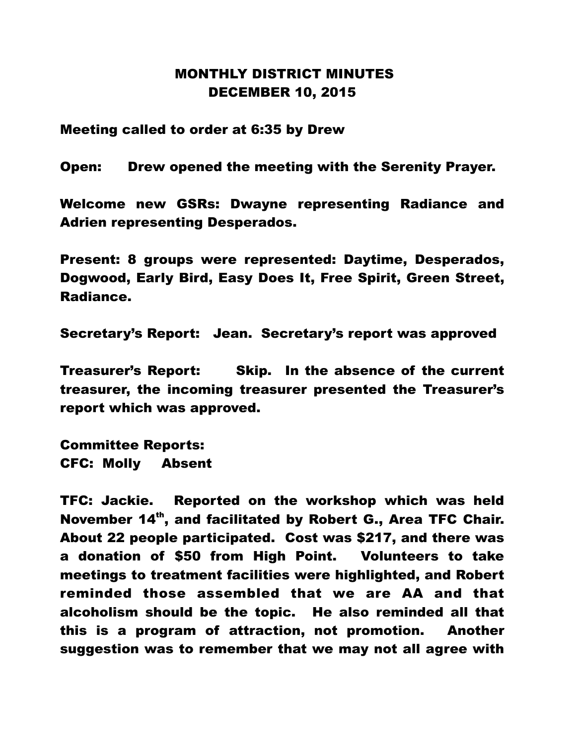## MONTHLY DISTRICT MINUTES DECEMBER 10, 2015

Meeting called to order at 6:35 by Drew

Open: Drew opened the meeting with the Serenity Prayer.

Welcome new GSRs: Dwayne representing Radiance and Adrien representing Desperados.

Present: 8 groups were represented: Daytime, Desperados, Dogwood, Early Bird, Easy Does It, Free Spirit, Green Street, Radiance.

Secretary's Report: Jean. Secretary's report was approved

Treasurer's Report: Skip. In the absence of the current treasurer, the incoming treasurer presented the Treasurer's report which was approved.

Committee Reports: CFC: Molly Absent

TFC: Jackie. Reported on the workshop which was held November 14<sup>th</sup>, and facilitated by Robert G., Area TFC Chair. About 22 people participated. Cost was \$217, and there was a donation of \$50 from High Point. Volunteers to take meetings to treatment facilities were highlighted, and Robert reminded those assembled that we are AA and that alcoholism should be the topic. He also reminded all that this is a program of attraction, not promotion. Another suggestion was to remember that we may not all agree with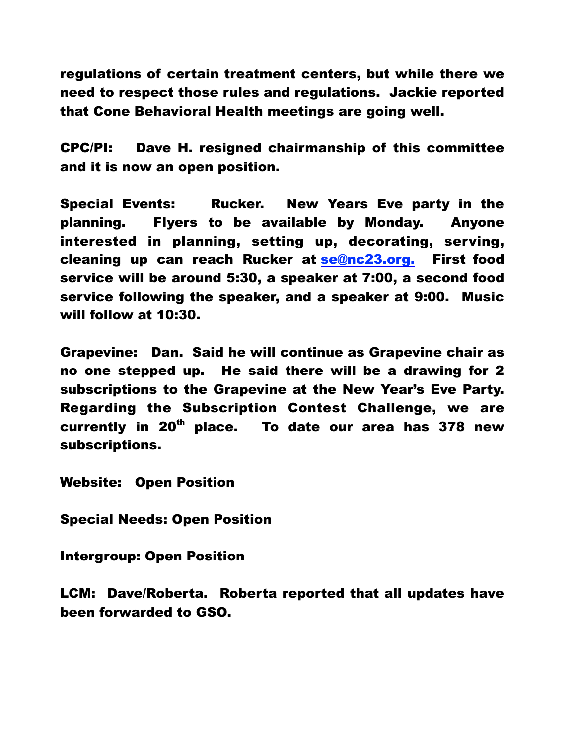regulations of certain treatment centers, but while there we need to respect those rules and regulations. Jackie reported that Cone Behavioral Health meetings are going well.

CPC/PI: Dave H. resigned chairmanship of this committee and it is now an open position.

Special Events: Rucker. New Years Eve party in the planning. Flyers to be available by Monday. Anyone interested in planning, setting up, decorating, serving, cleaning up can reach Rucker at se@nc23.org. First food service will be around 5:30, a speaker at 7:00, a second food service following the speaker, and a speaker at 9:00. Music will follow at 10:30.

Grapevine: Dan. Said he will continue as Grapevine chair as no one stepped up. He said there will be a drawing for 2 subscriptions to the Grapevine at the New Year's Eve Party. Regarding the Subscription Contest Challenge, we are currently in  $20<sup>th</sup>$  place. To date our area has 378 new subscriptions.

Website: Open Position

Special Needs: Open Position

Intergroup: Open Position

LCM: Dave/Roberta. Roberta reported that all updates have been forwarded to GSO.